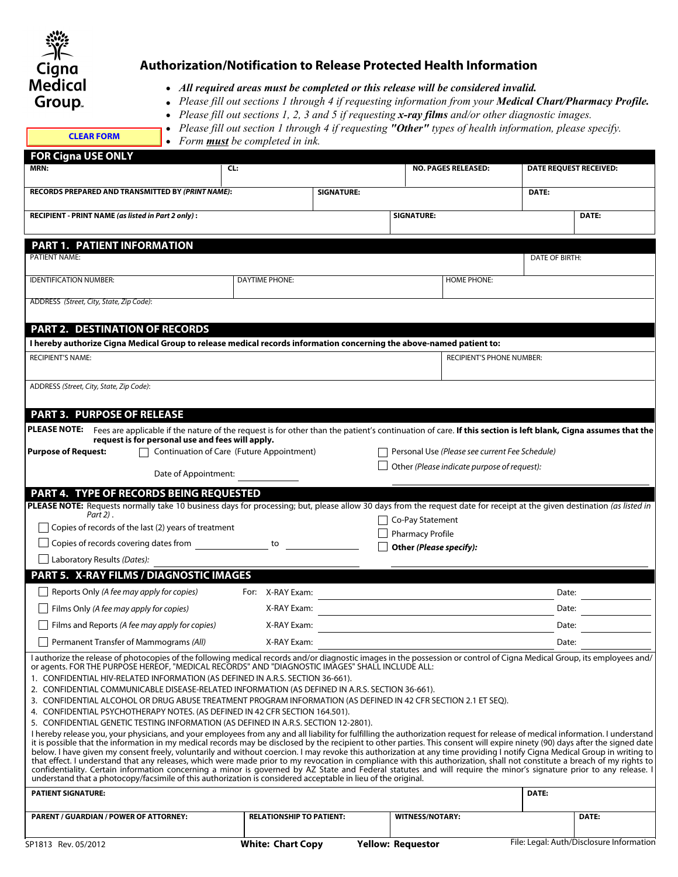

## **Authorization/Notification to Release Protected Health Information**

- **.** *All required areas must be completed or this release will be considered invalid.*
- **.** *Please fill out sections 1 through 4 if requesting information from your Medical Chart/Pharmacy Profile.*
- **.** *Please fill out sections 1, 2, 3 and 5 if requesting x-ray films and/or other diagnostic images.*

## **.** *Please fill out section 1 through 4 if requesting "Other" types of health information, please specify.*

| <b>CLEAR FORM</b> |  |  |  |
|-------------------|--|--|--|
|                   |  |  |  |
|                   |  |  |  |

**.** *Form must be completed in ink.*

| <b>FOR Cigna USE ONLY</b>                                                                                                                                                                                                                                                                                                                                                                                                                                                                                                                                                                                                                                                                                                                                                                                                                                                                                                                                                                                                                                                                                                                                                                                                                                                                                                                                                                                                                                                                                                                                                                                                                                                                                                                                                     |                                           |                          |                                                |                                          |  |
|-------------------------------------------------------------------------------------------------------------------------------------------------------------------------------------------------------------------------------------------------------------------------------------------------------------------------------------------------------------------------------------------------------------------------------------------------------------------------------------------------------------------------------------------------------------------------------------------------------------------------------------------------------------------------------------------------------------------------------------------------------------------------------------------------------------------------------------------------------------------------------------------------------------------------------------------------------------------------------------------------------------------------------------------------------------------------------------------------------------------------------------------------------------------------------------------------------------------------------------------------------------------------------------------------------------------------------------------------------------------------------------------------------------------------------------------------------------------------------------------------------------------------------------------------------------------------------------------------------------------------------------------------------------------------------------------------------------------------------------------------------------------------------|-------------------------------------------|--------------------------|------------------------------------------------|------------------------------------------|--|
| MRN:                                                                                                                                                                                                                                                                                                                                                                                                                                                                                                                                                                                                                                                                                                                                                                                                                                                                                                                                                                                                                                                                                                                                                                                                                                                                                                                                                                                                                                                                                                                                                                                                                                                                                                                                                                          | CL:                                       |                          | <b>NO. PAGES RELEASED:</b>                     | <b>DATE REQUEST RECEIVED:</b>            |  |
| RECORDS PREPARED AND TRANSMITTED BY (PRINT NAME):                                                                                                                                                                                                                                                                                                                                                                                                                                                                                                                                                                                                                                                                                                                                                                                                                                                                                                                                                                                                                                                                                                                                                                                                                                                                                                                                                                                                                                                                                                                                                                                                                                                                                                                             |                                           | <b>SIGNATURE:</b>        |                                                | DATE:                                    |  |
| RECIPIENT - PRINT NAME (as listed in Part 2 only):                                                                                                                                                                                                                                                                                                                                                                                                                                                                                                                                                                                                                                                                                                                                                                                                                                                                                                                                                                                                                                                                                                                                                                                                                                                                                                                                                                                                                                                                                                                                                                                                                                                                                                                            |                                           |                          | <b>SIGNATURE:</b>                              | DATE:                                    |  |
| PART 1. PATIENT INFORMATION                                                                                                                                                                                                                                                                                                                                                                                                                                                                                                                                                                                                                                                                                                                                                                                                                                                                                                                                                                                                                                                                                                                                                                                                                                                                                                                                                                                                                                                                                                                                                                                                                                                                                                                                                   |                                           |                          |                                                |                                          |  |
| <b>PATIENT NAME:</b>                                                                                                                                                                                                                                                                                                                                                                                                                                                                                                                                                                                                                                                                                                                                                                                                                                                                                                                                                                                                                                                                                                                                                                                                                                                                                                                                                                                                                                                                                                                                                                                                                                                                                                                                                          |                                           |                          |                                                | DATE OF BIRTH:                           |  |
| <b>IDENTIFICATION NUMBER:</b>                                                                                                                                                                                                                                                                                                                                                                                                                                                                                                                                                                                                                                                                                                                                                                                                                                                                                                                                                                                                                                                                                                                                                                                                                                                                                                                                                                                                                                                                                                                                                                                                                                                                                                                                                 | <b>DAYTIME PHONE:</b>                     |                          | <b>HOME PHONE:</b>                             |                                          |  |
| ADDRESS (Street, City, State, Zip Code):                                                                                                                                                                                                                                                                                                                                                                                                                                                                                                                                                                                                                                                                                                                                                                                                                                                                                                                                                                                                                                                                                                                                                                                                                                                                                                                                                                                                                                                                                                                                                                                                                                                                                                                                      |                                           |                          |                                                |                                          |  |
| <b>PART 2. DESTINATION OF RECORDS</b>                                                                                                                                                                                                                                                                                                                                                                                                                                                                                                                                                                                                                                                                                                                                                                                                                                                                                                                                                                                                                                                                                                                                                                                                                                                                                                                                                                                                                                                                                                                                                                                                                                                                                                                                         |                                           |                          |                                                |                                          |  |
| I hereby authorize Cigna Medical Group to release medical records information concerning the above-named patient to:                                                                                                                                                                                                                                                                                                                                                                                                                                                                                                                                                                                                                                                                                                                                                                                                                                                                                                                                                                                                                                                                                                                                                                                                                                                                                                                                                                                                                                                                                                                                                                                                                                                          |                                           |                          |                                                |                                          |  |
| <b>RECIPIENT'S NAME:</b>                                                                                                                                                                                                                                                                                                                                                                                                                                                                                                                                                                                                                                                                                                                                                                                                                                                                                                                                                                                                                                                                                                                                                                                                                                                                                                                                                                                                                                                                                                                                                                                                                                                                                                                                                      |                                           |                          | RECIPIENT'S PHONE NUMBER:                      |                                          |  |
| ADDRESS (Street, City, State, Zip Code):                                                                                                                                                                                                                                                                                                                                                                                                                                                                                                                                                                                                                                                                                                                                                                                                                                                                                                                                                                                                                                                                                                                                                                                                                                                                                                                                                                                                                                                                                                                                                                                                                                                                                                                                      |                                           |                          |                                                |                                          |  |
| <b>PART 3. PURPOSE OF RELEASE</b>                                                                                                                                                                                                                                                                                                                                                                                                                                                                                                                                                                                                                                                                                                                                                                                                                                                                                                                                                                                                                                                                                                                                                                                                                                                                                                                                                                                                                                                                                                                                                                                                                                                                                                                                             |                                           |                          |                                                |                                          |  |
| PLEASE NOTE: Fees are applicable if the nature of the request is for other than the patient's continuation of care. If this section is left blank, Cigna assumes that the                                                                                                                                                                                                                                                                                                                                                                                                                                                                                                                                                                                                                                                                                                                                                                                                                                                                                                                                                                                                                                                                                                                                                                                                                                                                                                                                                                                                                                                                                                                                                                                                     |                                           |                          |                                                |                                          |  |
| request is for personal use and fees will apply.<br><b>Purpose of Request:</b>                                                                                                                                                                                                                                                                                                                                                                                                                                                                                                                                                                                                                                                                                                                                                                                                                                                                                                                                                                                                                                                                                                                                                                                                                                                                                                                                                                                                                                                                                                                                                                                                                                                                                                | Continuation of Care (Future Appointment) |                          | Personal Use (Please see current Fee Schedule) |                                          |  |
| Date of Appointment:                                                                                                                                                                                                                                                                                                                                                                                                                                                                                                                                                                                                                                                                                                                                                                                                                                                                                                                                                                                                                                                                                                                                                                                                                                                                                                                                                                                                                                                                                                                                                                                                                                                                                                                                                          |                                           |                          | Other (Please indicate purpose of request):    |                                          |  |
| PART 4. TYPE OF RECORDS BEING REQUESTED                                                                                                                                                                                                                                                                                                                                                                                                                                                                                                                                                                                                                                                                                                                                                                                                                                                                                                                                                                                                                                                                                                                                                                                                                                                                                                                                                                                                                                                                                                                                                                                                                                                                                                                                       |                                           |                          |                                                |                                          |  |
| PLEASE NOTE: Requests normally take 10 business days for processing; but, please allow 30 days from the request date for receipt at the given destination (as listed in                                                                                                                                                                                                                                                                                                                                                                                                                                                                                                                                                                                                                                                                                                                                                                                                                                                                                                                                                                                                                                                                                                                                                                                                                                                                                                                                                                                                                                                                                                                                                                                                       |                                           |                          |                                                |                                          |  |
| Part 2).<br>$\Box$ Copies of records of the last (2) years of treatment                                                                                                                                                                                                                                                                                                                                                                                                                                                                                                                                                                                                                                                                                                                                                                                                                                                                                                                                                                                                                                                                                                                                                                                                                                                                                                                                                                                                                                                                                                                                                                                                                                                                                                       |                                           |                          | Co-Pay Statement                               |                                          |  |
|                                                                                                                                                                                                                                                                                                                                                                                                                                                                                                                                                                                                                                                                                                                                                                                                                                                                                                                                                                                                                                                                                                                                                                                                                                                                                                                                                                                                                                                                                                                                                                                                                                                                                                                                                                               |                                           | <b>Pharmacy Profile</b>  |                                                |                                          |  |
| $\Box$ Laboratory Results (Dates):                                                                                                                                                                                                                                                                                                                                                                                                                                                                                                                                                                                                                                                                                                                                                                                                                                                                                                                                                                                                                                                                                                                                                                                                                                                                                                                                                                                                                                                                                                                                                                                                                                                                                                                                            |                                           |                          | Other (Please specify):                        |                                          |  |
| PART 5. X-RAY FILMS / DIAGNOSTIC IMAGES                                                                                                                                                                                                                                                                                                                                                                                                                                                                                                                                                                                                                                                                                                                                                                                                                                                                                                                                                                                                                                                                                                                                                                                                                                                                                                                                                                                                                                                                                                                                                                                                                                                                                                                                       |                                           |                          |                                                |                                          |  |
| Reports Only (A fee may apply for copies)                                                                                                                                                                                                                                                                                                                                                                                                                                                                                                                                                                                                                                                                                                                                                                                                                                                                                                                                                                                                                                                                                                                                                                                                                                                                                                                                                                                                                                                                                                                                                                                                                                                                                                                                     | For: X-RAY Exam:                          |                          |                                                | Date:                                    |  |
| Films Only (A fee may apply for copies)                                                                                                                                                                                                                                                                                                                                                                                                                                                                                                                                                                                                                                                                                                                                                                                                                                                                                                                                                                                                                                                                                                                                                                                                                                                                                                                                                                                                                                                                                                                                                                                                                                                                                                                                       | X-RAY Exam:                               |                          |                                                | Date:                                    |  |
| $\Box$ Films and Reports (A fee may apply for copies)                                                                                                                                                                                                                                                                                                                                                                                                                                                                                                                                                                                                                                                                                                                                                                                                                                                                                                                                                                                                                                                                                                                                                                                                                                                                                                                                                                                                                                                                                                                                                                                                                                                                                                                         | X-RAY Exam:                               |                          |                                                | Date:                                    |  |
| Permanent Transfer of Mammograms (All)                                                                                                                                                                                                                                                                                                                                                                                                                                                                                                                                                                                                                                                                                                                                                                                                                                                                                                                                                                                                                                                                                                                                                                                                                                                                                                                                                                                                                                                                                                                                                                                                                                                                                                                                        | X-RAY Exam:                               |                          |                                                | Date:                                    |  |
| l authorize the release of photocopies of the following medical records and/or diagnostic images in the possession or control of Cigna Medical Group, its employees and/<br>or agents. FOR THE PURPOSE HEREOF, "MEDICAL RECORDS" AND "DIAGNOSTIC IMAGES" SHALL INCLUDE ALL:<br>1. CONFIDENTIAL HIV-RELATED INFORMATION (AS DEFINED IN A.R.S. SECTION 36-661).<br>2. CONFIDENTIAL COMMUNICABLE DISEASE-RELATED INFORMATION (AS DEFINED IN A.R.S. SECTION 36-661).<br>3. CONFIDENTIAL ALCOHOL OR DRUG ABUSE TREATMENT PROGRAM INFORMATION (AS DEFINED IN 42 CFR SECTION 2.1 ET SEQ).<br>4. CONFIDENTIAL PSYCHOTHERAPY NOTES. (AS DEFINED IN 42 CFR SECTION 164.501).<br>5. CONFIDENTIAL GENETIC TESTING INFORMATION (AS DEFINED IN A.R.S. SECTION 12-2801).<br>I hereby release you, your physicians, and your employees from any and all liability for fulfilling the authorization request for release of medical information. I understand<br>it is possible that the information in my medical records may be disclosed by the recipient to other parties. This consent will expire ninety (90) days after the signed date<br>below. I have given my consent freely, voluntarily and without coercion. I may revoke this authorization at any time providing I notify Cigna Medical Group in writing to<br>that effect. I understand that any releases, which were made prior to my revocation in compliance with this authorization, shall not constitute a breach of my rights to<br>confidentiality. Certain information concerning a minor is governed by AZ State and Federal statutes and will require the minor's signature prior to any release. I<br>understand that a photocopy/facsimile of this authorization is considered acceptable in lieu of the original. |                                           |                          |                                                |                                          |  |
| <b>PATIENT SIGNATURE:</b>                                                                                                                                                                                                                                                                                                                                                                                                                                                                                                                                                                                                                                                                                                                                                                                                                                                                                                                                                                                                                                                                                                                                                                                                                                                                                                                                                                                                                                                                                                                                                                                                                                                                                                                                                     |                                           |                          |                                                | DATE:                                    |  |
| <b>PARENT / GUARDIAN / POWER OF ATTORNEY:</b>                                                                                                                                                                                                                                                                                                                                                                                                                                                                                                                                                                                                                                                                                                                                                                                                                                                                                                                                                                                                                                                                                                                                                                                                                                                                                                                                                                                                                                                                                                                                                                                                                                                                                                                                 | <b>RELATIONSHIP TO PATIENT:</b>           |                          | <b>WITNESS/NOTARY:</b>                         | DATE:                                    |  |
| SP1813 Rev. 05/2012                                                                                                                                                                                                                                                                                                                                                                                                                                                                                                                                                                                                                                                                                                                                                                                                                                                                                                                                                                                                                                                                                                                                                                                                                                                                                                                                                                                                                                                                                                                                                                                                                                                                                                                                                           | <b>White: Chart Copy</b>                  | <b>Yellow: Requestor</b> |                                                | File: Legal: Auth/Disclosure Information |  |